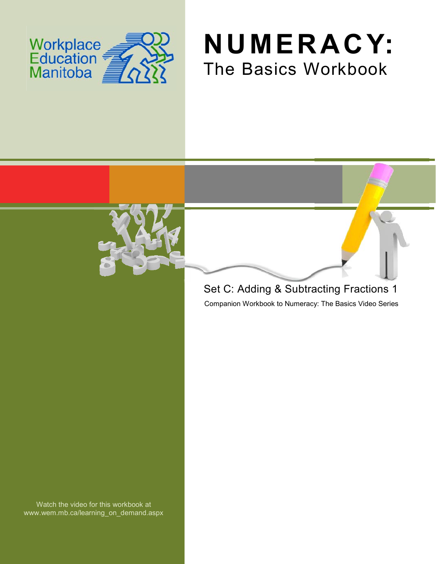





# Set C: Adding & Subtracting Fractions 1

Companion Workbook to Numeracy: The Basics Video Series

Watch the video for this workbook at www.wem.mb.ca/learning\_on\_demand.aspx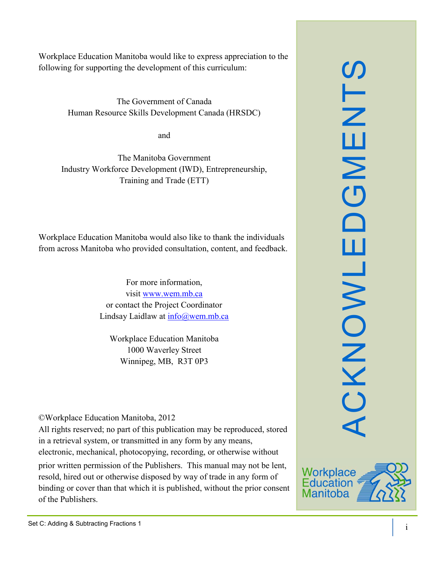SLN ACKNOWLEDGMENTS  $\overline{\mathbf{u}}$  $\mathsf{z}$  $\overline{\mathbf{C}}$  $\Box$ ш CKNOWL

Workplace Education Manitoba would like to express appreciation to the following for supporting the development of this curriculum:

> The Government of Canada Human Resource Skills Development Canada (HRSDC)

> > and

The Manitoba Government Industry Workforce Development (IWD), Entrepreneurship, Training and Trade (ETT)

Workplace Education Manitoba would also like to thank the individuals from across Manitoba who provided consultation, content, and feedback.

> For more information, visit [www.wem.mb.ca](http://www.wem.mb.ca/) or contact the Project Coordinator Lindsay Laidlaw at [info@wem.mb.ca](mailto:info@wem.mb.ca)

Workplace Education Manitoba 1000 Waverley Street Winnipeg, MB, R3T 0P3

©Workplace Education Manitoba, 2012

All rights reserved; no part of this publication may be reproduced, stored in a retrieval system, or transmitted in any form by any means, electronic, mechanical, photocopying, recording, or otherwise without

prior written permission of the Publishers. This manual may not be lent, resold, hired out or otherwise disposed by way of trade in any form of binding or cover than that which it is published, without the prior consent of the Publishers.

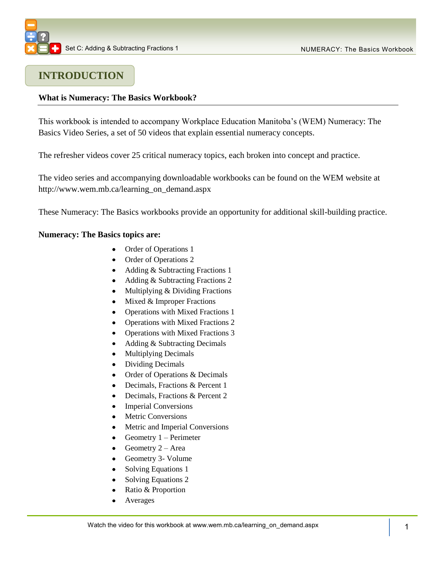

### **INTRODUCTION**

### **What is Numeracy: The Basics Workbook?**

This workbook is intended to accompany Workplace Education Manitoba's (WEM) Numeracy: The Basics Video Series, a set of 50 videos that explain essential numeracy concepts.

The refresher videos cover 25 critical numeracy topics, each broken into concept and practice.

The video series and accompanying downloadable workbooks can be found on the WEM website at [http://www.wem.mb.ca/learning\\_on\\_demand.aspx](http://www.wem.mb.ca/learning_on_demand.aspx)

These Numeracy: The Basics workbooks provide an opportunity for additional skill-building practice.

### **Numeracy: The Basics topics are:**

- Order of Operations 1
- Order of Operations 2
- Adding & Subtracting Fractions 1
- Adding & Subtracting Fractions 2
- $\bullet$ Multiplying & Dividing Fractions
- $\bullet$  Mixed & Improper Fractions
- Operations with Mixed Fractions 1  $\bullet$
- Operations with Mixed Fractions 2
- Operations with Mixed Fractions 3
- $\bullet$ Adding & Subtracting Decimals
- Multiplying Decimals  $\bullet$
- Dividing Decimals  $\bullet$
- Order of Operations & Decimals  $\bullet$
- Decimals, Fractions & Percent 1  $\bullet$
- Decimals, Fractions & Percent 2  $\bullet$
- Imperial Conversions
- Metric Conversions
- Metric and Imperial Conversions
- Geometry 1 Perimeter  $\bullet$
- Geometry 2 Area  $\bullet$
- Geometry 3- Volume
- Solving Equations 1
- $\bullet$ Solving Equations 2
- Ratio & Proportion  $\bullet$
- Averages  $\bullet$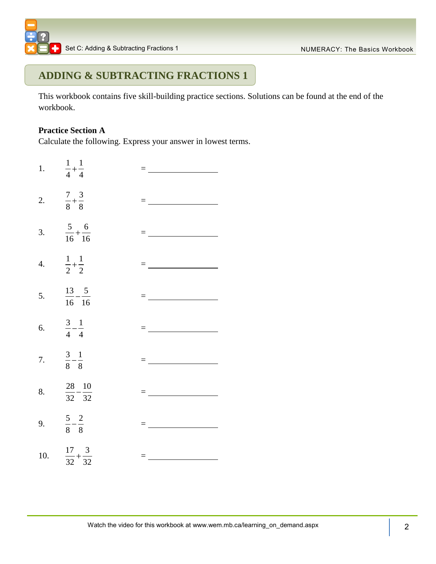## **ADDING & SUBTRACTING FRACTIONS 1**

This workbook contains five skill-building practice sections. Solutions can be found at the end of the workbook.

### **Practice Section A**

Calculate the following. Express your answer in lowest terms.

1. 1 1 4 4 = 2.  $\frac{7}{3} + \frac{3}{2}$ 8 8 = 3. 5 6 16 16  $=$   $\frac{1}{2}$   $\frac{1}{2}$   $\frac{1}{2}$   $\frac{1}{2}$   $\frac{1}{2}$   $\frac{1}{2}$   $\frac{1}{2}$   $\frac{1}{2}$   $\frac{1}{2}$   $\frac{1}{2}$   $\frac{1}{2}$   $\frac{1}{2}$   $\frac{1}{2}$   $\frac{1}{2}$   $\frac{1}{2}$   $\frac{1}{2}$   $\frac{1}{2}$   $\frac{1}{2}$   $\frac{1}{2}$   $\frac{1}{2}$   $\frac{1}{2}$   $\frac{1}{2$ 4. 1 1 2 2 = <u>\_\_\_\_\_\_\_\_\_</u>\_\_\_\_\_\_ 5. 13 5 16 16 = 6. 3 1 4 4 = 7. 3 1 8 8 = 8. 28 10 32 32 = <u>\_\_\_\_\_\_\_\_\_\_\_\_\_\_\_\_</u> 9. 5 2 8 8 = 10.  $\frac{17}{22} + \frac{3}{21}$ 32 32 =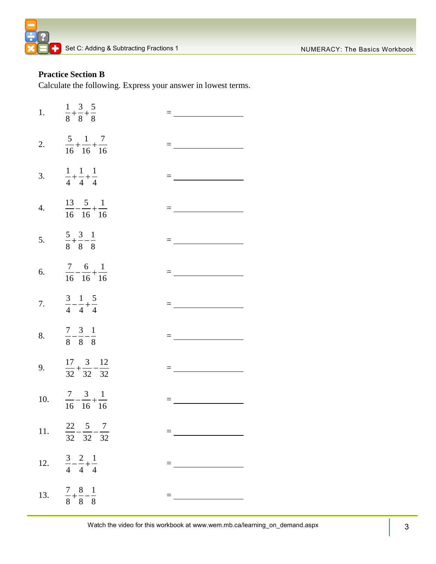

### **Practice Section B**

Calculate the following. Express your answer in lowest terms.

| 1. $\frac{1}{8} + \frac{3}{8} + \frac{5}{8}$      |                                                                                                                                                                                                                                                                                                                                                                                                              |
|---------------------------------------------------|--------------------------------------------------------------------------------------------------------------------------------------------------------------------------------------------------------------------------------------------------------------------------------------------------------------------------------------------------------------------------------------------------------------|
| 2. $rac{5}{16} + \frac{1}{16} + \frac{7}{16}$     |                                                                                                                                                                                                                                                                                                                                                                                                              |
| 3. $\frac{1}{4} + \frac{1}{4} + \frac{1}{4}$      |                                                                                                                                                                                                                                                                                                                                                                                                              |
| 4. $\frac{13}{16} - \frac{5}{16} + \frac{1}{16}$  | $= \underbrace{\qquad \qquad }_{\hspace{15pt} \hspace{15pt} \hspace{15pt} \hspace{15pt} \hspace{15pt} \hspace{15pt} \hspace{15pt} \hspace{15pt} \hspace{15pt} \hspace{15pt} \hspace{15pt} \hspace{15pt} \hspace{15pt} \hspace{15pt} \hspace{15pt} \hspace{15pt} \hspace{15pt} \hspace{15pt} \hspace{15pt} \hspace{15pt} \hspace{15pt} \hspace{15pt} \hspace{15pt} \hspace{15pt} \hspace{15pt} \hspace{15pt}$ |
| 5. $rac{5}{8} + \frac{3}{8} - \frac{1}{8}$        |                                                                                                                                                                                                                                                                                                                                                                                                              |
| 6. $\frac{7}{16} - \frac{6}{16} + \frac{1}{16}$   | = <u>__________________</u>                                                                                                                                                                                                                                                                                                                                                                                  |
| 7. $\frac{3}{4} - \frac{1}{4} + \frac{5}{4}$      | $=\underbrace{\qquad \qquad }_{\qquad \qquad }$                                                                                                                                                                                                                                                                                                                                                              |
| 8. $\frac{7}{8} - \frac{3}{8} - \frac{1}{8}$      |                                                                                                                                                                                                                                                                                                                                                                                                              |
| 9. $\frac{17}{32} + \frac{3}{32} - \frac{12}{32}$ | $=$ $\frac{1}{\sqrt{1-\frac{1}{2}}\left(1-\frac{1}{2}\right)}$                                                                                                                                                                                                                                                                                                                                               |
| 10. $\frac{7}{16} - \frac{3}{16} + \frac{1}{16}$  |                                                                                                                                                                                                                                                                                                                                                                                                              |
| 11. $\frac{22}{32} - \frac{5}{32} - \frac{7}{32}$ |                                                                                                                                                                                                                                                                                                                                                                                                              |
| 12. $\frac{3}{4} - \frac{2}{4} + \frac{1}{4}$     | $= \underbrace{\qquad \qquad }_{\qquad \qquad \qquad \qquad }=\underbrace{\qquad \qquad }_{\qquad \qquad \qquad }=\underbrace{\qquad \qquad }_{\qquad \qquad \qquad }$                                                                                                                                                                                                                                       |
| 13. $\frac{7}{8} + \frac{8}{8} - \frac{1}{8}$     |                                                                                                                                                                                                                                                                                                                                                                                                              |

Watch the video for this workbook at www.wem.mb.ca 3 /learning\_on\_demand.aspx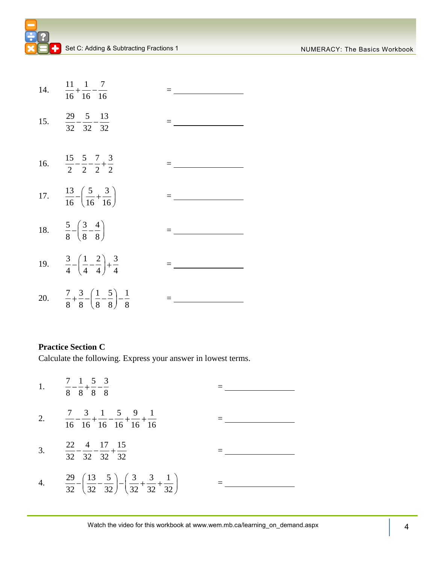| 14. $\frac{11}{16} + \frac{1}{16} - \frac{7}{16}$                                    |                   |
|--------------------------------------------------------------------------------------|-------------------|
| 15. $\frac{29}{32} - \frac{5}{32} - \frac{13}{32}$                                   |                   |
| 16. $\frac{15}{2} - \frac{5}{2} - \frac{7}{2} + \frac{3}{2}$                         | $=$ $\frac{1}{2}$ |
| 17. $\frac{13}{16} - \left(\frac{5}{16} + \frac{3}{16}\right)$                       |                   |
| 18. $rac{5}{8} - \left(\frac{3}{8} - \frac{4}{8}\right)$                             |                   |
| 19. $rac{3}{4} - \left(\frac{1}{4} - \frac{2}{4}\right) + \frac{3}{4}$               |                   |
| 20. $rac{7}{8} + \frac{3}{8} - \left(\frac{1}{8} - \frac{5}{8}\right) - \frac{1}{8}$ |                   |

### **Practice Section C**

Calculate the following. Express your answer in lowest terms.

1. 7 1 5 3 8 8 8 8  $=$ 2.  $7 \quad 3 \quad 1 \quad 5 \quad 9 \quad 1$  $\frac{1}{16} - \frac{1}{16} + \frac{1}{16} - \frac{1}{16} + \frac{1}{16} + \frac{1}{16}$  $=$ 3. 22 4 17 15  $\frac{1}{32} - \frac{1}{32} - \frac{1}{32} + \frac{1}{32}$ = 4.  $\frac{29}{13} - \left(\frac{13}{13}\right) - \left(\frac{3}{13}\right) + \frac{3}{13} + \frac{11}{13}$  $\frac{29}{32} - \left(\frac{13}{32} - \frac{5}{32}\right) - \left(\frac{3}{32} + \frac{3}{32} + \frac{1}{32}\right)$ =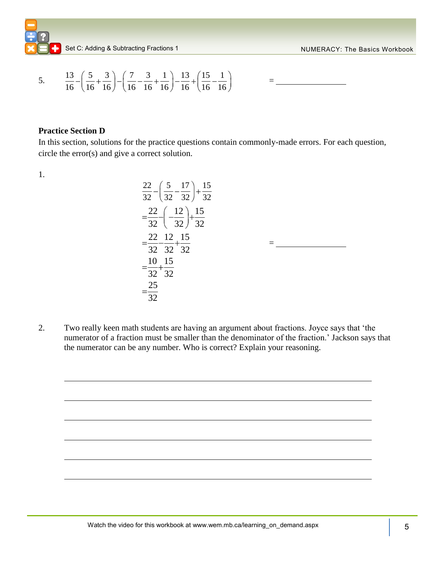Set C: Adding & Subtracting Fractions 1 NUMERACY: The Basics Workbook

5. 
$$
\frac{13}{16} - \left(\frac{5}{16} + \frac{3}{16}\right) - \left(\frac{7}{16} - \frac{3}{16} + \frac{1}{16}\right) - \frac{13}{16} + \left(\frac{15}{16} - \frac{1}{16}\right) = \underline{\qquad}
$$

### **Practice Section D**

In this section, solutions for the practice questions contain commonly-made errors. For each question, circle the error(s) and give a correct solution.

1.

$$
\frac{22}{32} - \left(\frac{5}{32} - \frac{17}{32}\right) + \frac{15}{32}
$$
\n
$$
= \frac{22}{32} - \left(-\frac{12}{32}\right) + \frac{15}{32}
$$
\n
$$
= \frac{22}{32} - \frac{12}{32} + \frac{15}{32}
$$
\n
$$
= \frac{10}{32} + \frac{15}{32}
$$
\n
$$
= \frac{25}{32}
$$

2. Two really keen math students are having an argument about fractions. Joyce says that 'the numerator of a fraction must be smaller than the denominator of the fraction.' Jackson says that the numerator can be any number. Who is correct? Explain your reasoning.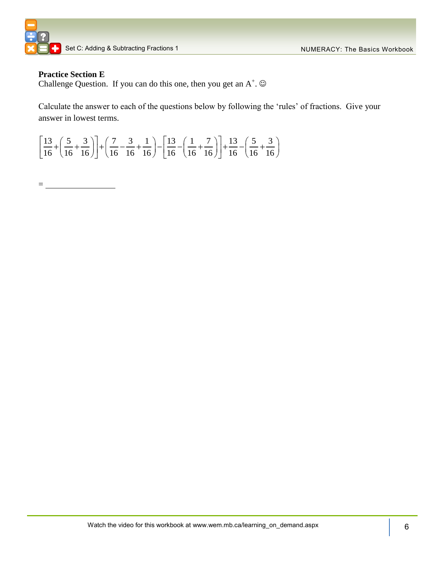

### **Practice Section E**

Challenge Question. If you can do this one, then you get an  $A^+$ .  $\odot$ 

Calculate the answer to each of the questions below by following the 'rules' of fractions. Give your answer in lowest terms.

| answer in lowest terms.                                                                                                                                                                                                                                              |  |  |
|----------------------------------------------------------------------------------------------------------------------------------------------------------------------------------------------------------------------------------------------------------------------|--|--|
| $\left[\frac{13}{16} + \left(\frac{5}{16} + \frac{3}{16}\right)\right] + \left(\frac{7}{16} - \frac{3}{16} + \frac{1}{16}\right) - \left[\frac{13}{16} - \left(\frac{1}{16} + \frac{7}{16}\right)\right] + \frac{13}{16} - \left(\frac{5}{16} + \frac{3}{16}\right)$ |  |  |

 $=$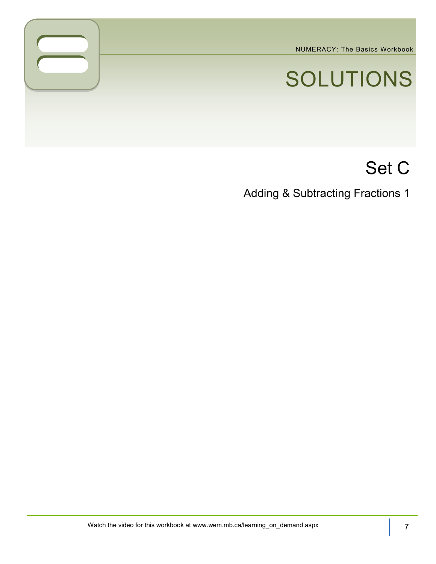NUMERACY: The Basics Workbook

# SOLUTIONS

# Set C

Adding & Subtracting Fractions 1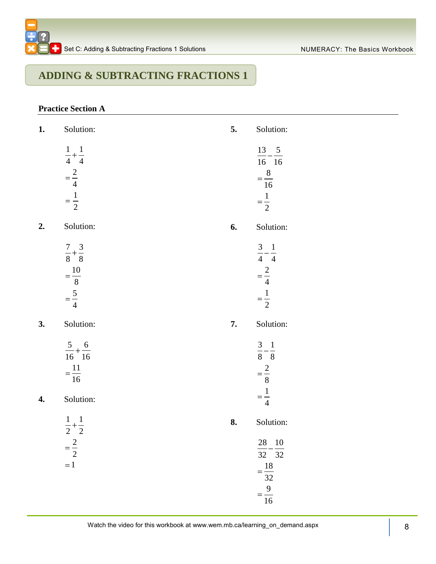# **ADDING & SUBTRACTING FRACTIONS 1**

### **Practice Section A**

| 1.                 | Solution:                                                       | 5. | Solution:                                                           |
|--------------------|-----------------------------------------------------------------|----|---------------------------------------------------------------------|
|                    | $\frac{1}{4} + \frac{1}{4}$<br>$=\frac{2}{4}$<br>$=\frac{1}{2}$ |    | $13 - 5$<br>$\overline{16}$ 16<br>$=\frac{8}{16}$<br>$=\frac{1}{2}$ |
| 2.                 | Solution:                                                       | 6. | Solution:                                                           |
|                    | $\frac{7}{8} + \frac{3}{8}$<br>$=\frac{10}{8}$ $=\frac{5}{4}$   |    | $\frac{3}{4} - \frac{1}{4}$<br>$=\frac{2}{4}$<br>$=\frac{1}{2}$     |
| 3.                 | Solution:                                                       | 7. | Solution:                                                           |
| $\boldsymbol{4}$ . | $\frac{5}{16} + \frac{6}{16}$<br>$=\frac{11}{16}$<br>Solution:  |    | $\frac{3}{8} - \frac{1}{8}$<br>$=\frac{2}{8}$<br>$=\frac{1}{4}$     |
|                    | $\frac{1}{2} + \frac{1}{2}$                                     | 8. | Solution:                                                           |
|                    | $=\frac{2}{2}$<br>$=1$                                          |    | 28 10<br>$\frac{1}{32} - \frac{1}{32}$<br>$=\frac{18}{32}$          |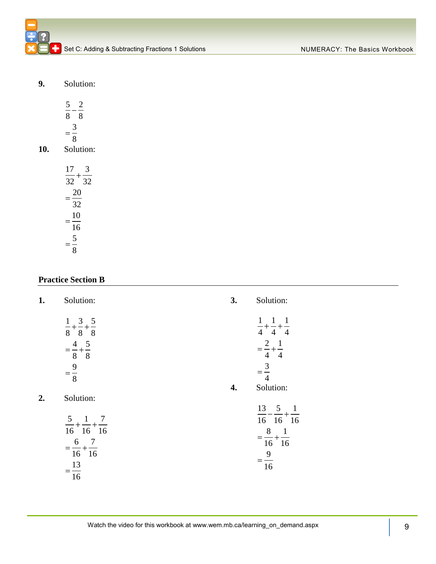Set C: Adding & Subtracting Fractions 1 Solutions

**9.** Solution:

|     | 8<br>8    |
|-----|-----------|
|     | 8         |
| 10. | Solution: |

| 17       |                 |
|----------|-----------------|
| 32       | $\overline{32}$ |
| 20<br>32 |                 |
| 10<br>16 |                 |
| 5<br>Ջ   |                 |

### **Practice Section B**

| 1. | Solution:                                  | 3. | Solution:                                     |
|----|--------------------------------------------|----|-----------------------------------------------|
|    | $\frac{1}{8} + \frac{3}{8} + \frac{5}{8}$  |    | $\frac{1}{4} + \frac{1}{4} + \frac{1}{4}$     |
|    | $=\frac{4}{8}+\frac{5}{8}$                 |    | $=\frac{2}{4}+\frac{1}{4}$                    |
|    | $=\frac{9}{8}$                             |    | $=\frac{3}{4}$                                |
|    |                                            | 4. | Solution:                                     |
| 2. | Solution:                                  |    |                                               |
|    | $rac{5}{16} + \frac{1}{16} + \frac{7}{16}$ |    | $\frac{13}{16} - \frac{5}{16} + \frac{1}{16}$ |
|    |                                            |    | $=\frac{8}{16}+\frac{1}{16}$                  |
|    | $=\frac{6}{16}+\frac{7}{16}$               |    |                                               |
|    |                                            |    | $=\frac{9}{1}$                                |
|    | $\frac{13}{1}$                             |    | 16                                            |
|    | 16                                         |    |                                               |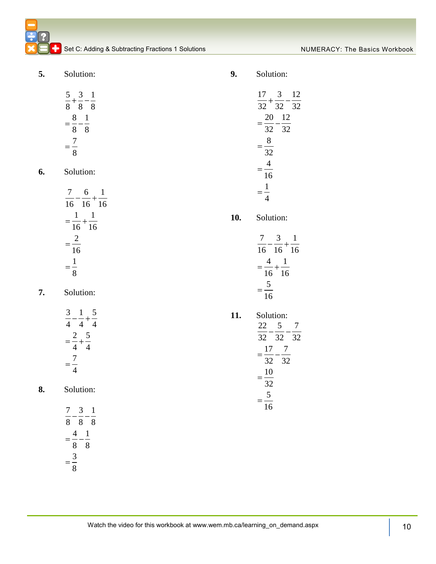**5.** Solution:

| $\mathcal{C}$             |        |   |   |   |
|---------------------------|--------|---|---|---|
| $\overline{\overline{8}}$ |        | 8 |   | 8 |
|                           | 8<br>8 |   | 8 |   |
|                           | 8      |   |   |   |

**6.** Solution:

$$
\frac{7}{16} - \frac{6}{16} + \frac{1}{16}
$$

$$
= \frac{1}{16} + \frac{1}{16}
$$

$$
= \frac{2}{16}
$$

$$
= \frac{1}{8}
$$

**7.** Solution:

**8.** Solution:

$$
\frac{7}{8} - \frac{3}{8} - \frac{1}{8} = \frac{4}{8} - \frac{1}{8} = \frac{3}{8}
$$

**9.** Solution:

$$
\frac{17}{32} + \frac{3}{32} - \frac{12}{32}
$$
  
=  $\frac{20}{32} - \frac{12}{32}$   
=  $\frac{8}{32}$   
=  $\frac{4}{16}$   
=  $\frac{1}{4}$   
Solution:  

$$
\frac{7}{16} - \frac{3}{16} + \frac{1}{16}
$$
  
=  $\frac{4}{16} + \frac{1}{16}$   
=  $\frac{5}{16}$   
Solution:  

$$
\frac{22}{32} - \frac{5}{32} - \frac{7}{32}
$$
  
=  $\frac{17}{32} - \frac{7}{32}$ 

 $10.$ 

 $11.$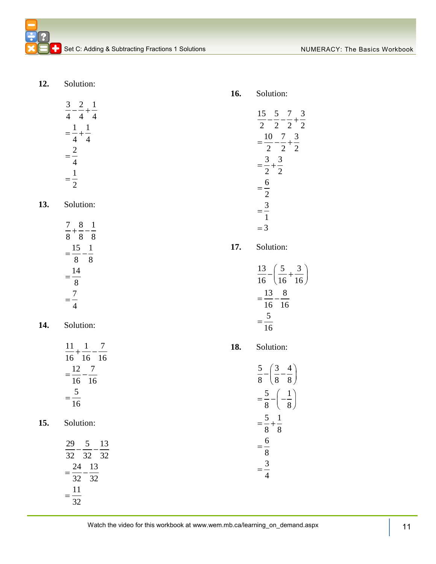**12.** Solution:

$$
\frac{3}{4} - \frac{2}{4} + \frac{1}{4} = \frac{1}{4} + \frac{1}{4} = \frac{2}{4} = \frac{1}{2}
$$

**13.** Solution:

**14.** Solution:

| 11 |               |    |
|----|---------------|----|
|    | $16 \quad 16$ | 16 |
| 12 |               |    |
| 16 | 16            |    |
|    |               |    |
| 1  |               |    |

**15.** Solution:

| 29 |          | 5 |    | 13 |
|----|----------|---|----|----|
|    | 32 32 32 |   |    |    |
|    | 24       |   | 13 |    |
|    | 32 32    |   |    |    |
|    | 11       |   |    |    |
|    | 32.      |   |    |    |

**16.** Solution:

$$
\frac{15}{2} - \frac{5}{2} - \frac{7}{2} + \frac{3}{2}
$$
  
\n
$$
= \frac{10}{2} - \frac{7}{2} + \frac{3}{2}
$$
  
\n
$$
= \frac{3}{2} + \frac{3}{2}
$$
  
\n
$$
= \frac{6}{2}
$$
  
\n
$$
= \frac{3}{1}
$$
  
\nSolution:  
\n
$$
\frac{13}{16} - \left(\frac{5}{16} + \frac{3}{16}\right)
$$
  
\n
$$
= \frac{13}{16} - \frac{8}{16}
$$
  
\nSolution:  
\n
$$
\frac{5}{8} - \left(\frac{3}{8} - \frac{4}{8}\right)
$$
  
\n
$$
= \frac{5}{8} - \left(-\frac{1}{8}\right)
$$
  
\n
$$
= \frac{5}{8} + \frac{1}{8}
$$

**17.** 

**18.** 

Watch the video for this workbook at www.wem.mb.ca/learning\_on\_demand.aspx | 11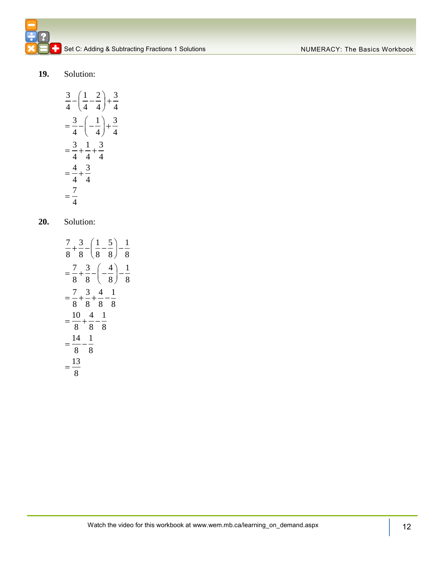### **19.** Solution:

$$
\frac{3}{4} - \left(\frac{1}{4} - \frac{2}{4}\right) + \frac{3}{4}
$$

$$
= \frac{3}{4} - \left(-\frac{1}{4}\right) + \frac{3}{4}
$$

$$
= \frac{3}{4} + \frac{1}{4} + \frac{3}{4}
$$

$$
= \frac{4}{4} + \frac{3}{4}
$$

$$
= \frac{7}{4}
$$

### **20.** Solution:

$$
\frac{7}{8} + \frac{3}{8} - \left(\frac{1}{8} - \frac{5}{8}\right) - \frac{1}{8}
$$

$$
= \frac{7}{8} + \frac{3}{8} - \left(-\frac{4}{8}\right) - \frac{1}{8}
$$

$$
= \frac{7}{8} + \frac{3}{8} + \frac{4}{8} - \frac{1}{8}
$$

$$
= \frac{10}{8} + \frac{4}{8} - \frac{1}{8}
$$

$$
= \frac{14}{8} - \frac{1}{8}
$$

$$
= \frac{13}{8}
$$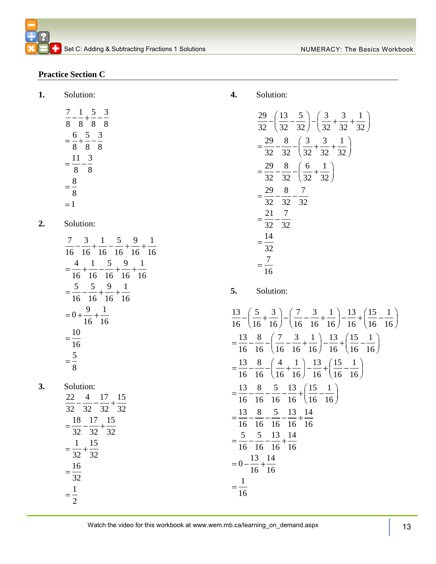### **Practice Section C**

**1.** Solution:

$$
\frac{7}{8} - \frac{1}{8} + \frac{5}{8} - \frac{3}{8}
$$
  
=  $\frac{6}{8} + \frac{5}{8} - \frac{3}{8}$   
=  $\frac{11}{8} - \frac{3}{8}$   
=  $\frac{8}{8}$   
= 1

**2.** Solution:

| $\mathcal{I}$<br>16             | 3<br>16        | $\mathbf 1$<br>16 16 | 5       | 9<br>$\frac{16}{16}$ | 16 |
|---------------------------------|----------------|----------------------|---------|----------------------|----|
| 16                              | 1<br>16        | $\frac{5}{2}$<br>16  | 9<br>16 | 16                   |    |
| 5<br>16                         | 5<br>16        | $\frac{9}{1}$<br>16  | 1<br>16 |                      |    |
| $\theta$                        | $\frac{9}{16}$ | $\frac{1}{16}$       |         |                      |    |
| 10<br>16                        |                |                      |         |                      |    |
| $\frac{5}{1}$<br>$\overline{8}$ |                |                      |         |                      |    |

**3.** Solution:

$$
\frac{22}{32} - \frac{4}{32} - \frac{17}{32} + \frac{15}{32}
$$
  
=  $\frac{18}{32} - \frac{17}{32} + \frac{15}{32}$   
=  $\frac{1}{32} + \frac{15}{32}$   
=  $\frac{16}{32}$   
=  $\frac{1}{2}$ 

### **4.** Solution:

$$
\frac{29}{32} - \left(\frac{13}{32} - \frac{5}{32}\right) - \left(\frac{3}{32} + \frac{3}{32} + \frac{1}{32}\right)
$$
  
=  $\frac{29}{32} - \frac{8}{32} - \left(\frac{3}{32} + \frac{3}{32} + \frac{1}{32}\right)$   
=  $\frac{29}{32} - \frac{8}{32} - \left(\frac{6}{32} + \frac{1}{32}\right)$   
=  $\frac{29}{32} - \frac{8}{32} - \frac{7}{32}$   
=  $\frac{21}{32} - \frac{7}{32}$   
=  $\frac{14}{32}$   
=  $\frac{7}{16}$ 

**5.** Solution:

3. Solution:  
\n
$$
\frac{13}{16} - \left(\frac{5}{16} + \frac{3}{16}\right) - \left(\frac{7}{16} - \frac{3}{16} + \frac{1}{16}\right) - \frac{13}{16} + \left(\frac{15}{16} - \frac{1}{16}\right)
$$
\n
$$
= \frac{13}{16} - \frac{8}{16} - \left(\frac{7}{16} - \frac{3}{16} + \frac{1}{16}\right) - \frac{13}{16} + \left(\frac{15}{16} - \frac{1}{16}\right)
$$
\n
$$
= \frac{13}{16} - \frac{8}{16} - \left(\frac{4}{16} + \frac{1}{16}\right) - \frac{13}{16} + \left(\frac{15}{16} - \frac{1}{16}\right)
$$
\n
$$
= \frac{13}{16} - \frac{8}{16} - \frac{5}{16} - \frac{13}{16} + \frac{14}{16}
$$
\n
$$
= \frac{5}{16} - \frac{5}{16} - \frac{13}{16} + \frac{14}{16}
$$
\n
$$
= 0 - \frac{13}{16} + \frac{14}{16}
$$
\n
$$
= \frac{1}{16}
$$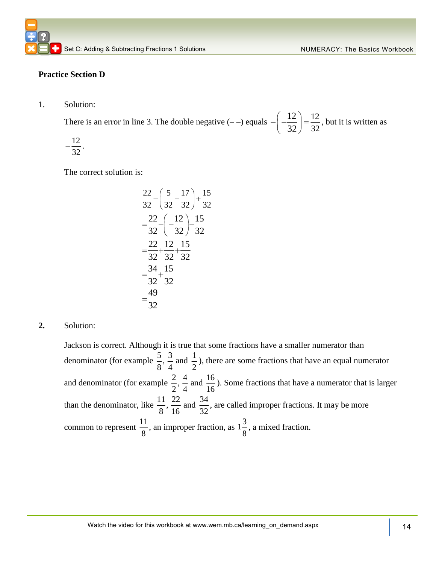### **Practice Section D**

1. Solution:

There is an error in line 3. The double negative  $(--)$  equals  $-(-\frac{12}{2}) = \frac{12}{25}$ 32 12 32 , but it is written as

$$
-\frac{12}{32}
$$

.

The correct solution is:

$$
\frac{22}{32} - \left(\frac{5}{32} - \frac{17}{32}\right) + \frac{15}{32}
$$

$$
= \frac{22}{32} - \left(-\frac{12}{32}\right) + \frac{15}{32}
$$

$$
= \frac{22}{32} + \frac{12}{32} + \frac{15}{32}
$$

$$
= \frac{34}{32} + \frac{15}{32}
$$

$$
= \frac{49}{32}
$$

**2.** Solution:

Jackson is correct. Although it is true that some fractions have a smaller numerator than denominator (for example  $\frac{5}{3}$ ,  $\frac{3}{4}$  and  $\frac{1}{4}$  $8' 4 - 2$ ), there are some fractions that have an equal numerator and denominator (for example  $\frac{2}{5}$ ,  $\frac{4}{5}$  and  $\frac{16}{5}$  $2'$  4  $16$ ). Some fractions that have a numerator that is larger than the denominator, like  $\frac{11}{2}$ ,  $\frac{22}{14}$  and  $\frac{34}{24}$  $8'16 \frac{m}{32}$ , are called improper fractions. It may be more common to represent  $\frac{11}{2}$ 8 , an improper fraction, as  $1\frac{3}{5}$ 8 , a mixed fraction.